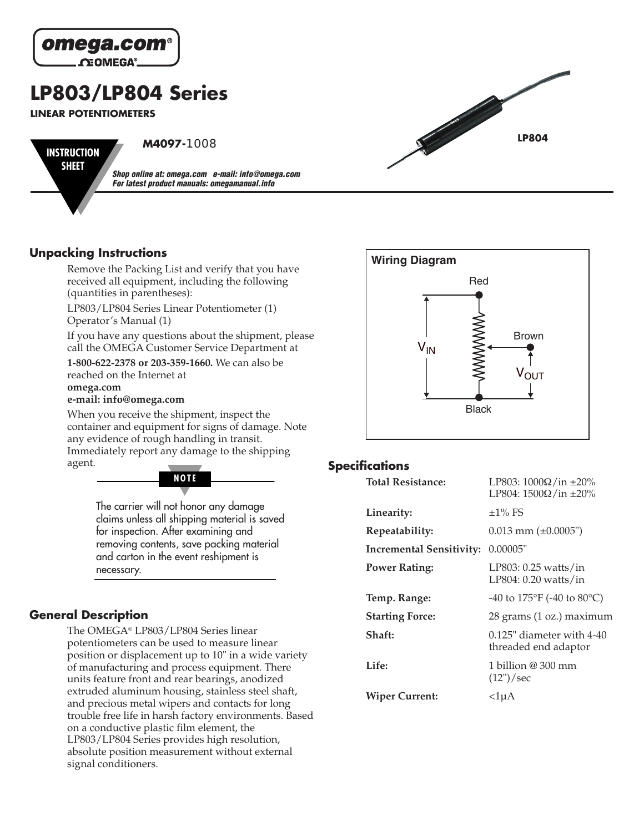

# **LP803/LP804 Series**

**LINEAR POTENTIOMETERS**

**INSTRUCTION SHEET**

**M4097-**1008

**Shop online at: omega.com e-mail: info@omega.com For latest product manuals: omegamanual.info**

#### **Unpacking Instructions**

Remove the Packing List and verify that you have received all equipment, including the following (quantities in parentheses):

LP803/LP804 Series Linear Potentiometer (1) Operator's Manual (1)

If you have any questions about the shipment, please call the OMEGA Customer Service Department at

**1-800-622-2378 or 203-359-1660.** We can also be reached on the Internet at **omega.com** 

**e-mail: info@omega.com**

When you receive the shipment, inspect the container and equipment for signs of damage. Note any evidence of rough handling in transit. Immediately report any damage to the shipping agent.

> The carrier will not honor any damage claims unless all shipping material is saved for inspection. After examining and removing contents, save packing material and carton in the event reshipment is **NOTE**

### **General Description**

necessary.

The OMEGA® LP803/LP804 Series linear potentiometers can be used to measure linear position or displacement up to 10" in a wide variety of manufacturing and process equipment. There units feature front and rear bearings, anodized extruded aluminum housing, stainless steel shaft, and precious metal wipers and contacts for long trouble free life in harsh factory environments. Based on a conductive plastic film element, the LP803/LP804 Series provides high resolution, absolute position measurement without external signal conditioners.



**LP804**

#### **Specifications**

| <b>Total Resistance:</b>        | LP803: 1000Ω/in $\pm$ 20%<br>LP804: $1500\Omega$ /in $\pm 20\%$  |
|---------------------------------|------------------------------------------------------------------|
| Linearity:                      | $\pm$ 1% FS                                                      |
| Repeatability:                  | $0.013$ mm ( $\pm 0.0005$ ")                                     |
| <b>Incremental Sensitivity:</b> | 0.00005"                                                         |
| <b>Power Rating:</b>            | $LP803: 0.25 \text{ watts/in}$<br>$LP804: 0.20 \text{ watts/in}$ |
| Temp. Range:                    | -40 to $175^{\circ}$ F (-40 to 80 $^{\circ}$ C)                  |
| <b>Starting Force:</b>          | 28 grams (1 oz.) maximum                                         |
| Shaft:                          | $0.125$ " diameter with 4-40<br>threaded end adaptor             |
| Life:                           | 1 billion @ 300 mm<br>$(12")$ /sec                               |
| <b>Wiper Current:</b>           | <1uA                                                             |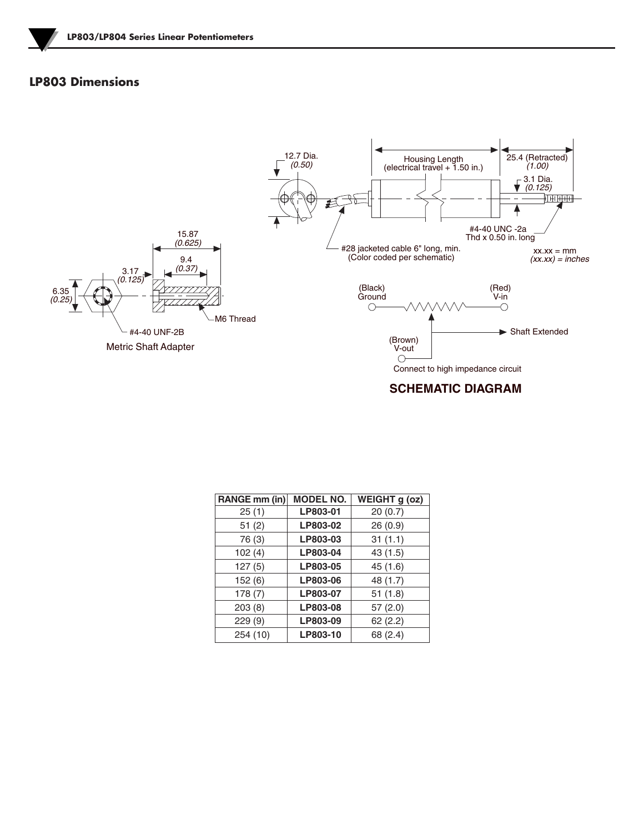## **LP803 Dimensions**



#### **SCHEMATIC DIAGRAM**

| RANGE mm (in) | <b>MODEL NO.</b> | $\overline{\text{WEIGHT}}$ g (oz) |
|---------------|------------------|-----------------------------------|
| 25(1)         | LP803-01         | 20(0.7)                           |
| 51(2)         | LP803-02         | 26(0.9)                           |
| 76 (3)        | LP803-03         | 31(1.1)                           |
| 102(4)        | LP803-04         | 43 (1.5)                          |
| 127(5)        | LP803-05         | 45 (1.6)                          |
| 152(6)        | LP803-06         | 48 (1.7)                          |
| 178(7)        | LP803-07         | 51(1.8)                           |
| 203(8)        | LP803-08         | 57(2.0)                           |
| 229(9)        | LP803-09         | 62(2.2)                           |
| 254 (10)      | LP803-10         | 68 (2.4)                          |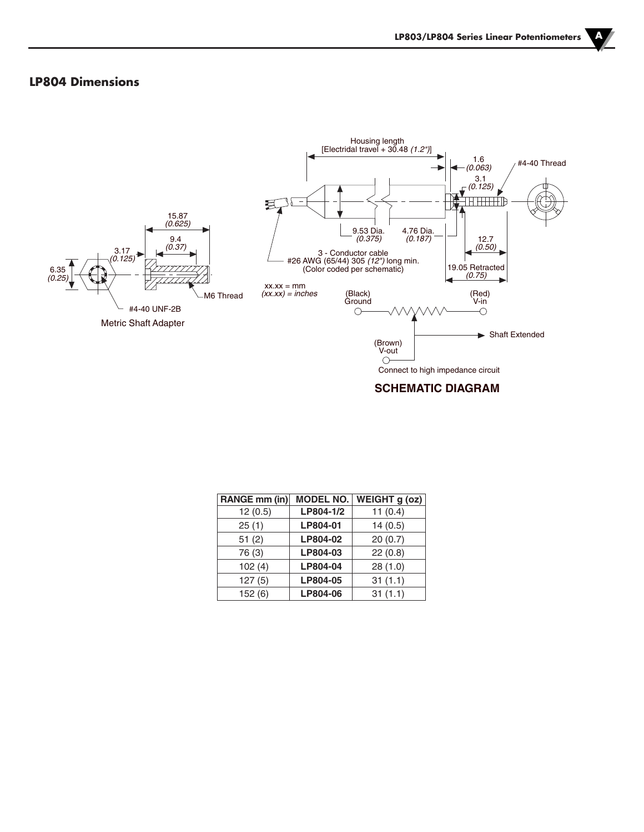## **LP804 Dimensions**



#### **SCHEMATIC DIAGRAM**

| RANGE mm (in) | <b>MODEL NO.</b> | WEIGHT g (oz) |
|---------------|------------------|---------------|
| 12(0.5)       | LP804-1/2        | 11(0.4)       |
| 25(1)         | LP804-01         | 14(0.5)       |
| 51(2)         | LP804-02         | 20(0.7)       |
| 76 (3)        | LP804-03         | 22(0.8)       |
| 102(4)        | LP804-04         | 28(1.0)       |
| 127(5)        | LP804-05         | 31(1.1)       |
| 152(6)        | LP804-06         | 31(1.1)       |